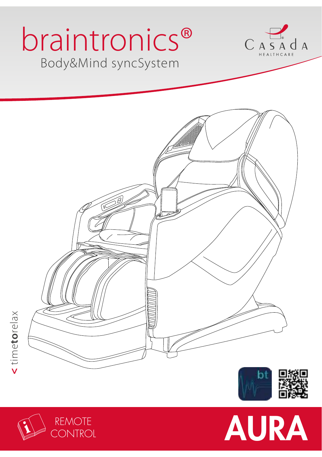# Body&Mind syncSystem braintronics®











time**to**relax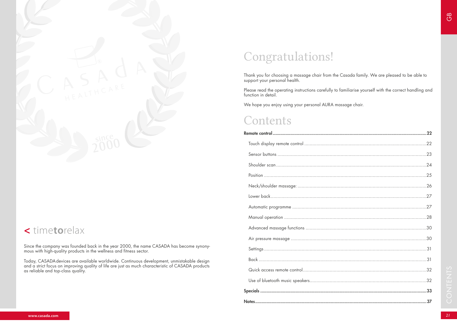

## **<** time**to**relax

Since the company was founded back in the year 2000, the name CASADA has become synonymous with high-quality products in the wellness and fitness sector.

Today, CASADAdevices are available worldwide. Continuous development, unmistakable design and a strict focus on improving quality of life are just as much characteristic of CASADA products as reliable and top-class quality.

# Congratulations!

Thank you for choosing a massage chair from the Casada family. We are pleased to be able to support your personal health.

Please read the operating instructions carefully to familiarise yourself with the correct handling and function in detail.

We hope you enjoy using your personal AURA massage chair.

## **Contents**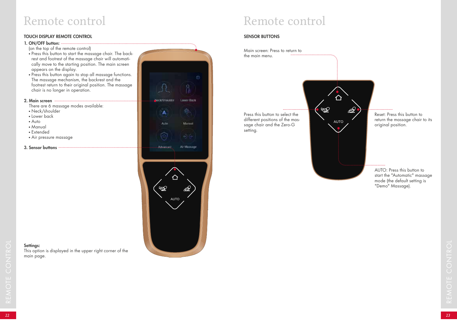#### TOUCH DISPLAY REMOTE CONTROL SENSOR BUTTONS

#### 1. ON/OFF button:

- (on the top of the remote control)
- Press this button to start the massage chair. The backrest and footrest of the massage chair will automatically move to the starting position. The main screen appears on the display.
- Press this button again to stop all massage functions. The massage mechanism, the backrest and the footrest return to their original position. The massage chair is no longer in operation.

#### 2. Main screen

There are 6 massage modes available:

This option is displayed in the upper right corner of the

- Neck/shoulder
- Lower back
- Auto

Settings:

main page.

- Manual
- Extended
- Air pressure massage
- 3. Sensor buttons



# Remote control



AUTO: Press this button to start the "Automatic" massage mode (the default setting is "Demo" Massage).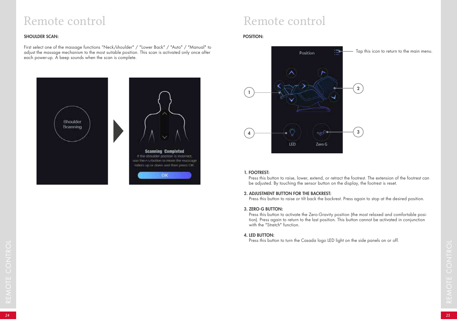#### SHOULDER SCAN:

First select one of the massage functions "Neck/shoulder" / "Lower Back" / "Auto" / "Manual" to adjust the massage mechanism to the most suitable position. This scan is activated only once after each power-up. A beep sounds when the scan is complete.



# Remote control

#### POSITION:



#### 1. FOOTREST:

Press this button to raise, lower, extend, or retract the footrest. The extension of the footrest can be adjusted. By touching the sensor button on the display, the footrest is reset.

#### 2. ADJUSTMENT BUTTON FOR THE BACKREST:

Press this button to raise or tilt back the backrest. Press again to stop at the desired position.

#### 3. ZERO-G BUTTON:

Press this button to activate the Zero-Gravity position (the most relaxed and comfortable position). Press again to return to the last position. This button cannot be activated in conjunction with the "Stretch" function.

#### 4. LED BUTTON:

*<sup>24</sup> <sup>25</sup>* REMOTE CONTROL Press this button to turn the Casada logo LED light on the side panels on or off.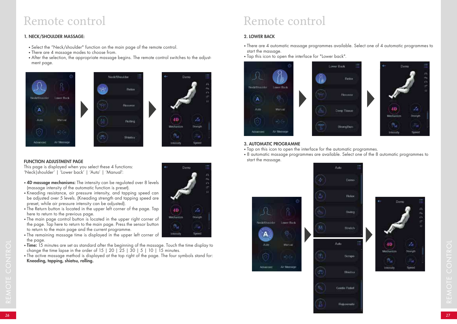#### 1. NECK/SHOULDER MASSAGE:

- Select the "Neck/shoulder" function on the main page of the remote control.
- There are 4 massage modes to choose from.
- After the selection, the appropriate massage begins. The remote control switches to the adjustment page.







Phoenix

40

Mechanism

ß,

**Intensity** 

 $\mathbb{Z}_2$ 

**Domuth** 

Speed:

#### FUNCTION ADJUSTMENT PAGE

This page is displayed when you select these 4 functions: 'Neck|shoulder' | 'Lower back' | 'Auto' | 'Manual':

- 4D massage mechanisms: The intensity can be regulated over 8 levels (massage intensity of the automatic function is preset).
- Kneading resistance, air pressure intensity, and tapping speed can be adjusted over 5 levels. (Kneading strength and tapping speed are preset, while air pressure intensity can be adjusted).
- The Return button is located in the upper left corner of the page. Tap here to return to the previous page.
- The main page control button is located in the upper right corner of the page. Tap here to return to the main page. Press the sensor button to return to the main page and the current programme.
- The remaining massage time is displayed in the upper left corner of the page.
- Time: 15 minutes are set as standard after the beginning of the massage. Touch the time display to change the time lapse in the order of 15 | 20 | 25 | 30 | 5 | 10 | 15 minutes.
- The active massage method is displayed at the top right of the page. The four symbols stand for: Kneading, tapping, shiatsu, rolling.

# Remote control

#### 2. LOWER BACK

- There are 4 automatic massage programmes available. Select one of 4 automatic programmes to start the massage.
- Tap this icon to open the interface for "Lower back".



#### 3. AUTOMATIC PROGRAMME

- Tap on this icon to open the interface for the automatic programmes.
- 8 automatic massage programmes are available. Select one of the 8 automatic programmes to start the massage.

Audio





**Hojuvenate** 

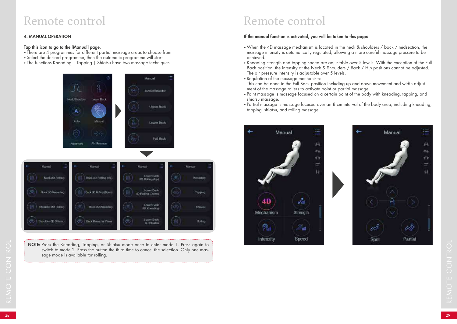#### 4. MANUAL OPERATION

#### Tap this icon to go to the [Manual] page.

- There are 4 programmes for different partial massage areas to choose from.
- Select the desired programme, then the automatic programme will start.
- The functions Kneading | Tapping | Shiatsu have two massage techniques.



NOTE: Press the Kneading, Tapping, or Shirstsu mode once to enter mode 1. Press again to switch to mode 2. Press the Minimal starts the builder for colling.<br>
<br>
29 *29* REMOTE: Press the builder for colling.<br>
<br>
<br>
<br>
<br>
<br>
<br> NOTE: Press the Kneading, Tapping, or Shiatsu mode once to enter mode 1. Press again to switch to mode 2. Press the button the third time to cancel the selection. Only one massage mode is available for rolling.

# Remote control

#### If the manual function is activated, you will be taken to this page:

- When the 4D massage mechanism is located in the neck & shoulders / back / midsection, the massage intensity is automatically regulated, allowing a more careful massage pressure to be achieved.
- Kneading strength and tapping speed are adjustable over 5 levels. With the exception of the Full Back position, the intensity at the Neck & Shoulders / Back / Hip positions cannot be adjusted. The air pressure intensity is adjustable over 5 levels.
- Regulation of the massage mechanism:

This can be done in the Full Back position including up and down movement and width adjustment of the massage rollers to activate point or partial massage.

- Point massage is massage focused on a certain point of the body with kneading, tapping, and shiatsu massage.
- Partial massage is massage focused over an 8 cm interval of the body area, including kneading, tapping, shiatsu, and rolling massage.



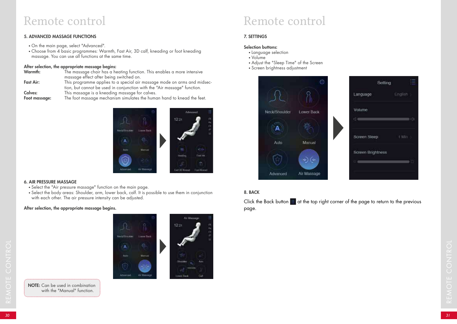#### 5. ADVANCED MASSAGE FUNCTIONS

- On the main page, select "Advanced".
- Choose from 4 basic programmes: Warmth, Fast Air, 3D calf, kneading or foot kneading massage. You can use all functions at the same time.

#### After selection, the appropriate massage begins:

| Warmth:          | The massage chair has a heating function. This enables a more intensive                                                                              |
|------------------|------------------------------------------------------------------------------------------------------------------------------------------------------|
|                  | massage effect after being switched on.                                                                                                              |
| <b>Fast Air:</b> | This programme applies to a special air massage mode on arms and midsec-<br>tion, but cannot be used in conjunction with the "Air massage" function. |
| Calves:          | This massage is a kneading massage for calves.                                                                                                       |
| Foot massage:    | The foot massage mechanism simulates the human hand to knead the feet.                                                                               |



#### 6. AIR PRESSURE MASSAGE

- Select the "Air pressure massage" function on the main page.
- Select the body areas: Shoulder, arm, lower back, calf. It is possible to use them in conjunction with each other. The air pressure intensity can be adjusted.

#### After selection, the appropriate massage begins.

Air Maissar 12:21 **New School Ast** *Course That <sup>30</sup> <sup>31</sup>* REMOTE CONTROL



# Remote control

#### 7. SETTINGS

#### Selection buttons:

- Language selection
- Volume
- Adjust the "Sleep Time" of the Screen
- Screen brightness adjustment





#### 8. BACK

Click the Back button  $\equiv$  at the top right corner of the page to return to the previous page.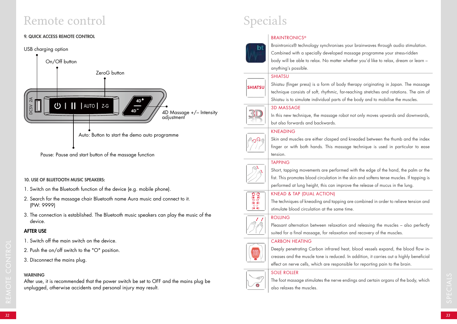#### 9. QUICK ACCESS REMOTE CONTROL



Pause: Pause and start button of the massage function

#### 10. USE OF BLUETOOTH MUSIC SPEAKERS:

- 1. Switch on the Bluetooth function of the device (e.g. mobile phone).
- 2. Search for the massage chair Bluetooth name Aura music and connect to it. (PW: 9999)
- 3. The connection is established. The Bluetooth music speakers can play the music of the device.

#### AFTER USE

- 1. Switch off the main switch on the device.
- 2. Push the on/off switch to the "O" position.
- 3. Disconnect the mains plug.

#### WARNING

After use, it is recommended that the power switch be set to OFF and the mains plug be unplugged, otherwise accidents and personal injury may result.

# Specials

#### **BRAINTRONICS®**



Braintronics® technology synchronises your brainwaves through audio stimulation. Combined with a specially developed massage programme your stress-ridden body will be able to relax. No matter whether you'd like to relax, dream or learn – anything's possible.

#### **SHIATSU**



Shiatsu (finger press) is a form of body therapy originating in Japan. The massage technique consists of soft, rhythmic, far-reaching stretches and rotations. The aim of Shiatsu is to simulate individual parts of the body and to mobilise the muscles.

#### 3D MASSAGE



In this new technique, the massage robot not only moves upwards and downwards, but also forwards and backwards.

#### KNEADING



Skin and muscles are either clasped and kneaded between the thumb and the index finger or with both hands. This massage technique is used in particular to ease tension.

#### TAPPING



**DOOS** ိဝိ

Short, tapping movements are performed with the edge of the hand, the palm or the fist. This promotes blood circulation in the skin and softens tense muscles. If tapping is performed at lung height, this can improve the release of mucus in the lung.

#### KNEAD & TAP (DUAL ACTION)

The techniques of kneading and tapping are combined in order to relieve tension and stimulate blood circulation at the same time.

#### ROLLING



 $\pm$  1

Pleasant alternation between relaxation and releasing the muscles – also perfectly suited for a final massage, for relaxation and recovery of the muscles.

#### CARBON HEATING



2. Push the on/off switch to the "O" position.<br> **3.** Disconnect the mains plug.<br> **3.** Disconnect the mains plug.<br> **3.** Disconnect the mains plug.<br> **3.** After use, it is recommended that the power switch be set to OFF and t Deeply penetrating Carbon infrared heat, blood vessels expand, the blood flow increases and the muscle tone is reduced. In addition, it carries out a highly beneficial effect on nerve cells, which are responsible for reporting pain to the brain.

#### SOLE ROLLER



The foot massage stimulates the nerve endings and certain organs of the body, which also relaxes the muscles.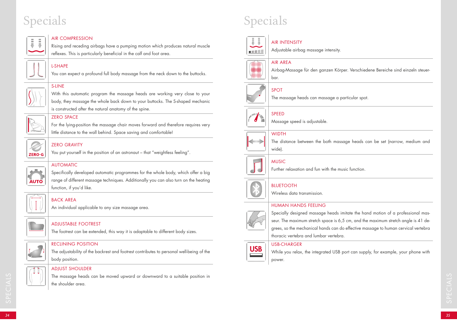

#### AIR COMPRESSION

Rising and receding airbags have a pumping motion which produces natural muscle reflexes. This is particularly beneficial in the calf and foot area.

#### L-SHAPE

You can expect a profound full body massage from the neck down to the buttocks.



## With this automatic program the massage heads are working very close to your

body, they massage the whole back down to your buttocks. The S-shaped mechanic is constructed after the natural anatomy of the spine.



#### ZERO SPACE

For the lying-position the massage chair moves forward and therefore requires very little distance to the wall behind. Space saving and comfortable!



### ZERO GRAVITY

You put yourself in the position of an astronaut – that "weightless feeling".

#### AUTOMATIC

Specifically developed automatic programmes for the whole body, which offer a big range of different massage techniques. Additionally you can also turn on the heating function, if you'd like.



**AUTO** 

### BACK AREA

An individual applicable to any size massage area.



#### ADJUSTABLE FOOTREST

The footrest can be extended, this way it is adaptable to different body sizes.



#### RECLINING POSITION

The adjustability of the backrest and footrest contributes to personal well-being of the body position.



#### ADJUST SHOULDER

The massage heads can be moved upward or downward to a suitable position in<br>
the shoulder area.<br> **34**<br>
34 The massage heads can be moved upward or downward to a suitable position in the shoulder area.

# Specials Specials Specials Specials Specials Specials Specials Specials Specials Specials Specials Specials Specials Specials Specials Specials Specials Specials Specials Specials Specials Specials Specials Specials Specia



### AIR INTENSITY

Adjustable airbag massage intensity.

#### AIR AREA



Airbag-Massage für den ganzen Körper. Verschiedene Bereiche sind einzeln steuerbar.

## SPOT

The massage heads can massage a particular spot.



 $\rightarrow$ 

### SPEED

Massage speed is adjustable.

### **WIDTH**

The distance between the both massage heads can be set (narrow, medium and wide)

## **MUSIC**



Further relaxation and fun with the music function.

#### BLUETOOTH

Wireless data transmission.

#### HUMAN HANDS FEELING



Specially designed massage heads imitate the hand motion of a professional masseur. The maximum stretch space is 6,5 cm, and the maximum stretch angle is 41 degrees, so the mechanical hands can do effective massage to human cervical vertebra thoracic vertebra and lumbar vertebra.

#### USB-CHARGER



While you relax, the integrated USB port can supply, for example, your phone with power.

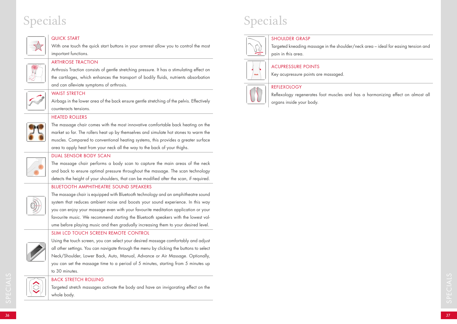#### QUICK START

With one touch the quick start buttons in your armrest allow you to control the most important functions.

#### ARTHROSE TRACTION

Arthrosis Traction consists of gentle stretching pressure. It has a stimulating effect on the cartilages, which enhances the transport of bodily fluids, nutrients absorbation and can alleviate symptoms of arthrosis.



#### WAIST STRETCH

Airbags in the lower area of the back ensure gentle stretching of the pelvis. Effectively counteracts tensions.

#### HEATED ROLLERS



The massage chair comes with the most innovative comfortable back heating on the market so far. The rollers heat up by themselves and simulate hot stones to warm the muscles. Compared to conventional heating systems, this provides a greater surface area to apply heat from your neck all the way to the back of your thighs.



### DUAL SENSOR BODY SCAN

The massage chair performs a body scan to capture the main areas of the neck and back to ensure optimal pressure throughout the massage. The scan technology detects the height of your shoulders, that can be modified after the scan, if required.

#### BLUETOOTH AMPHITHEATRE SOUND SPEAKERS



The massage chair is equipped with Bluetooth technology and an amphitheatre sound system that reduces ambient noise and boosts your sound experience. In this way you can enjoy your massage even with your favourite meditation application or your favourite music. We recommend starting the Bluetooth speakers with the lowest volume before playing music and then gradually increasing them to your desired level.

#### SLIM LCD TOUCH SCREEN REMOTE CONTROL



Using the touch screen, you can select your desired massage comfortably and adjust all other settings. You can navigate through the menu by clicking the buttons to select Neck/Shoulder, Lower Back, Auto, Manual, Advance or Air Massage. Optionally, you can set the massage time to a period of 5 minutes, starting from 5 minutes up to 30 minutes.

#### BACK STRETCH ROLLING

Targeted stretch massages activate the body and have an invigorating effect on the whole body.

# Specials Specials Specials Specials Specials Specials Specials Specials Specials Specials Specials Specials Specials Specials Specials Specials Specials Specials Specials Specials Specials Specials Specials Specials Specia

#### SHOULDER GRASP

Targeted kneading massage in the shoulder/neck area – ideal for easing tension and pain in this area.



#### ACUPRESSURE POINTS

Key acupressure points are massaged.

#### **REFLEXOLOGY**



Reflexology regenerates foot muscles and has a harmonizing effect on almost all organs inside your body.